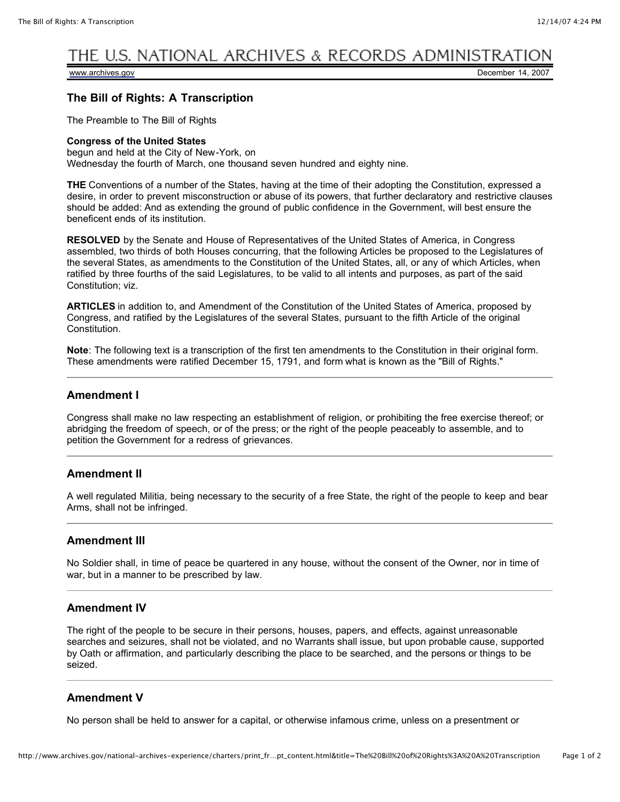# THE U.S. NATIONAL ARCHIVES & RECORDS ADMINISTRAT

[www.archives.gov](http://www.archives.gov/) **December 14, 2007** 

## **The Bill of Rights: A Transcription**

The Preamble to The Bill of Rights

#### **Congress of the United States**

begun and held at the City of New-York, on Wednesday the fourth of March, one thousand seven hundred and eighty nine.

**THE** Conventions of a number of the States, having at the time of their adopting the Constitution, expressed a desire, in order to prevent misconstruction or abuse of its powers, that further declaratory and restrictive clauses should be added: And as extending the ground of public confidence in the Government, will best ensure the beneficent ends of its institution.

**RESOLVED** by the Senate and House of Representatives of the United States of America, in Congress assembled, two thirds of both Houses concurring, that the following Articles be proposed to the Legislatures of the several States, as amendments to the Constitution of the United States, all, or any of which Articles, when ratified by three fourths of the said Legislatures, to be valid to all intents and purposes, as part of the said Constitution; viz.

**ARTICLES** in addition to, and Amendment of the Constitution of the United States of America, proposed by Congress, and ratified by the Legislatures of the several States, pursuant to the fifth Article of the original Constitution.

**Note**: The following text is a transcription of the first ten amendments to the Constitution in their original form. These amendments were ratified December 15, 1791, and form what is known as the "Bill of Rights."

#### **Amendment I**

Congress shall make no law respecting an establishment of religion, or prohibiting the free exercise thereof; or abridging the freedom of speech, or of the press; or the right of the people peaceably to assemble, and to petition the Government for a redress of grievances.

#### **Amendment II**

A well regulated Militia, being necessary to the security of a free State, the right of the people to keep and bear Arms, shall not be infringed.

#### **Amendment III**

No Soldier shall, in time of peace be quartered in any house, without the consent of the Owner, nor in time of war, but in a manner to be prescribed by law.

#### **Amendment IV**

The right of the people to be secure in their persons, houses, papers, and effects, against unreasonable searches and seizures, shall not be violated, and no Warrants shall issue, but upon probable cause, supported by Oath or affirmation, and particularly describing the place to be searched, and the persons or things to be seized.

#### **Amendment V**

No person shall be held to answer for a capital, or otherwise infamous crime, unless on a presentment or